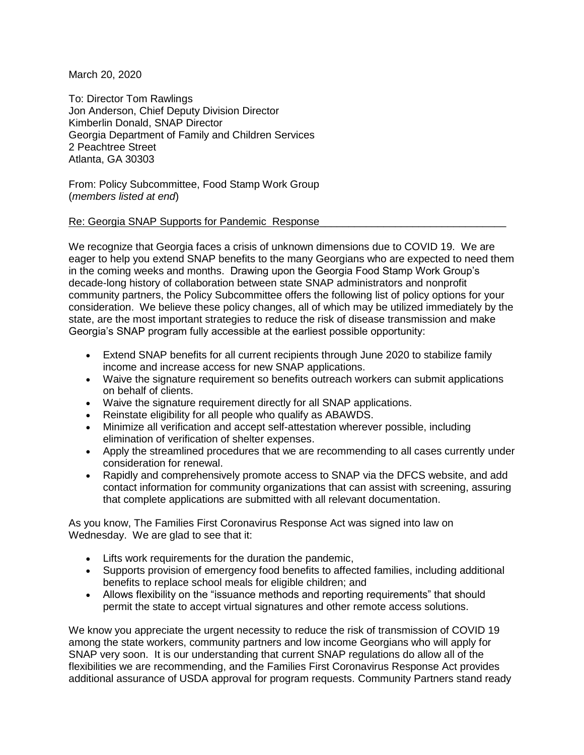March 20, 2020

To: Director Tom Rawlings Jon Anderson, Chief Deputy Division Director Kimberlin Donald, SNAP Director Georgia Department of Family and Children Services 2 Peachtree Street Atlanta, GA 30303

From: Policy Subcommittee, Food Stamp Work Group (*members listed at end*)

Re: Georgia SNAP Supports for Pandemic Response

We recognize that Georgia faces a crisis of unknown dimensions due to COVID 19. We are eager to help you extend SNAP benefits to the many Georgians who are expected to need them in the coming weeks and months. Drawing upon the Georgia Food Stamp Work Group's decade-long history of collaboration between state SNAP administrators and nonprofit community partners, the Policy Subcommittee offers the following list of policy options for your consideration. We believe these policy changes, all of which may be utilized immediately by the state, are the most important strategies to reduce the risk of disease transmission and make Georgia's SNAP program fully accessible at the earliest possible opportunity:

- Extend SNAP benefits for all current recipients through June 2020 to stabilize family income and increase access for new SNAP applications.
- Waive the signature requirement so benefits outreach workers can submit applications on behalf of clients.
- Waive the signature requirement directly for all SNAP applications.
- Reinstate eligibility for all people who qualify as ABAWDS.
- Minimize all verification and accept self-attestation wherever possible, including elimination of verification of shelter expenses.
- Apply the streamlined procedures that we are recommending to all cases currently under consideration for renewal.
- Rapidly and comprehensively promote access to SNAP via the DFCS website, and add contact information for community organizations that can assist with screening, assuring that complete applications are submitted with all relevant documentation.

As you know, The Families First Coronavirus Response Act was signed into law on Wednesday. We are glad to see that it:

- Lifts work requirements for the duration the pandemic,
- Supports provision of emergency food benefits to affected families, including additional benefits to replace school meals for eligible children; and
- Allows flexibility on the "issuance methods and reporting requirements" that should permit the state to accept virtual signatures and other remote access solutions.

We know you appreciate the urgent necessity to reduce the risk of transmission of COVID 19 among the state workers, community partners and low income Georgians who will apply for SNAP very soon. It is our understanding that current SNAP regulations do allow all of the flexibilities we are recommending, and the Families First Coronavirus Response Act provides additional assurance of USDA approval for program requests. Community Partners stand ready